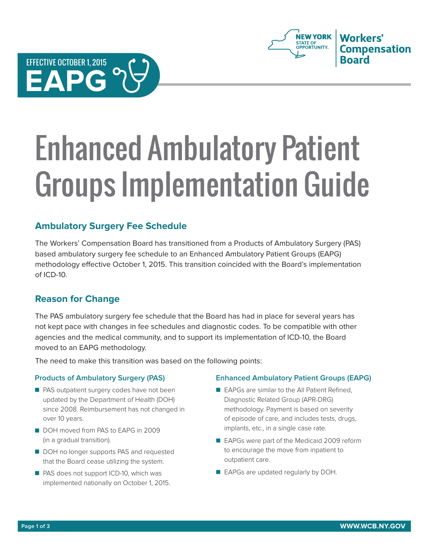



# Enhanced Ambulatory Patient Groups Implementation Guide

## **Ambulatory Surgery Fee Schedule**

The Workers' Compensation Board has transitioned from a Products of Ambulatory Surgery (PAS) based ambulatory surgery fee schedule to an Enhanced Ambulatory Patient Groups (EAPG) methodology effective October 1, 2015. This transition coincided with the Board's implementation of ICD-10.

## **Reason for Change**

The PAS ambulatory surgery fee schedule that the Board has had in place for several years has not kept pace with changes in fee schedules and diagnostic codes. To be compatible with other agencies and the medical community, and to support its implementation of ICD-10, the Board moved to an EAPG methodology.

The need to make this transition was based on the following points:

#### **Products of Ambulatory Surgery (PAS)**

- PAS outpatient surgery codes have not been updated by the Department of Health (DOH) since 2008. Reimbursement has not changed in over 10 years.
- DOH moved from PAS to EAPG in 2009 (in a gradual transition).
- DOH no longer supports PAS and requested that the Board cease utilizing the system.
- PAS does not support ICD-10, which was implemented nationally on October 1, 2015.

#### **Enhanced Ambulatory Patient Groups (EAPG)**

- EAPGs are similar to the All Patient Refined, Diagnostic Related Group (APR-DRG) methodology. Payment is based on severity of episode of care, and includes tests, drugs, implants, etc., in a single case rate.
- EAPGs were part of the Medicaid 2009 reform to encourage the move from inpatient to outpatient care.
- EAPGs are updated regularly by DOH.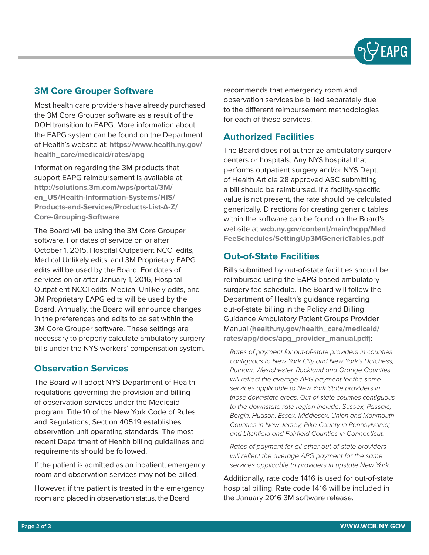

### **3M Core Grouper Software**

Most health care providers have already purchased the 3M Core Grouper software as a result of the DOH transition to EAPG. More information about the EAPG system can be found on the Department of Health's website at: **[https://www.health.ny.gov/](https://www.health.ny.gov/health_care/medicaid/rates/apg) [health\\_care/medicaid/rates/apg](https://www.health.ny.gov/health_care/medicaid/rates/apg)**

Information regarding the 3M products that support EAPG reimbursement is available at: **[http://solutions.3m.com/wps/portal/3M/](http://solutions.3m.com/wps/portal/3M/en_US/Health-Information-Systems/HIS/Products-and-Services/Products-List-A-Z/Core-Grouping-Software) [en\\_US/Health-Information-Systems/HIS/](http://solutions.3m.com/wps/portal/3M/en_US/Health-Information-Systems/HIS/Products-and-Services/Products-List-A-Z/Core-Grouping-Software) [Products-and-Services/Products-List-A-Z/](http://solutions.3m.com/wps/portal/3M/en_US/Health-Information-Systems/HIS/Products-and-Services/Products-List-A-Z/Core-Grouping-Software) [Core-Grouping-Software](http://solutions.3m.com/wps/portal/3M/en_US/Health-Information-Systems/HIS/Products-and-Services/Products-List-A-Z/Core-Grouping-Software)**

The Board will be using the 3M Core Grouper software. For dates of service on or after October 1, 2015, Hospital Outpatient NCCI edits, Medical Unlikely edits, and 3M Proprietary EAPG edits will be used by the Board. For dates of services on or after January 1, 2016, Hospital Outpatient NCCI edits, Medical Unlikely edits, and 3M Proprietary EAPG edits will be used by the Board. Annually, the Board will announce changes in the preferences and edits to be set within the 3M Core Grouper software. These settings are necessary to properly calculate ambulatory surgery bills under the NYS workers' compensation system.

#### **Observation Services**

The Board will adopt NYS Department of Health regulations governing the provision and billing of observation services under the Medicaid program. Title 10 of the New York Code of Rules and Regulations, Section 405.19 establishes observation unit operating standards. The most recent Department of Health billing guidelines and requirements should be followed.

If the patient is admitted as an inpatient, emergency room and observation services may not be billed.

However, if the patient is treated in the emergency room and placed in observation status, the Board

recommends that emergency room and observation services be billed separately due to the different reimbursement methodologies for each of these services.

## **Authorized Facilities**

The Board does not authorize ambulatory surgery centers or hospitals. Any NYS hospital that performs outpatient surgery and/or NYS Dept. of Health Article 28 approved ASC submitting a bill should be reimbursed. If a facility-specific value is not present, the rate should be calculated generically. Directions for creating generic tables within the software can be found on the Board's website at **[wcb.ny.gov/content/main/hcpp/Med](http://wcb.ny.gov/content/main/hcpp/MedFeeSchedules/SettingUp3MGenericTables.pdf) [FeeSchedules/SettingUp3MGenericTables.pdf](http://wcb.ny.gov/content/main/hcpp/MedFeeSchedules/SettingUp3MGenericTables.pdf)**

## **Out-of-State Facilities**

Bills submitted by out-of-state facilities should be reimbursed using the EAPG-based ambulatory surgery fee schedule. The Board will follow the Department of Health's guidance regarding out-of-state billing in the Policy and Billing Guidance Ambulatory Patient Groups Provider Manual (**[health.ny.gov/health\\_care/medicaid/](http://www.health.ny.gov/health_care/medicaid/rates/apg/docs/apg_provider_manual.pdf) [rates/apg/docs/apg\\_provider\\_manual.pdf](http://www.health.ny.gov/health_care/medicaid/rates/apg/docs/apg_provider_manual.pdf)**):

*Rates of payment for out-of-state providers in counties contiguous to New York City and New York's Dutchess, Putnam, Westchester, Rockland and Orange Counties will reflect the average APG payment for the same services applicable to New York State providers in those downstate areas. Out-of-state counties contiguous to the downstate rate region include: Sussex, Passaic, Bergin, Hudson, Essex, Middlesex, Union and Monmouth Counties in New Jersey; Pike County in Pennsylvania; and Litchfield and Fairfield Counties in Connecticut.*

*Rates of payment for all other out-of-state providers will reflect the average APG payment for the same services applicable to providers in upstate New York.*

Additionally, rate code 1416 is used for out-of-state hospital billing. Rate code 1416 will be included in the January 2016 3M software release.